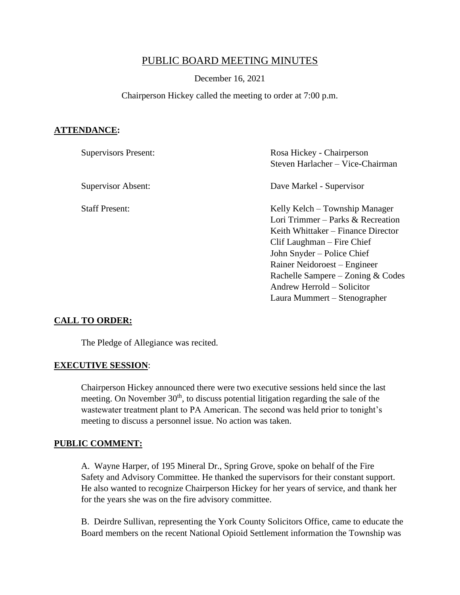# PUBLIC BOARD MEETING MINUTES

#### December 16, 2021

#### Chairperson Hickey called the meeting to order at 7:00 p.m.

#### **ATTENDANCE:**

| <b>Supervisors Present:</b> | Rosa Hickey - Chairperson<br>Steven Harlacher - Vice-Chairman                                                                                                                                                                                                                                            |
|-----------------------------|----------------------------------------------------------------------------------------------------------------------------------------------------------------------------------------------------------------------------------------------------------------------------------------------------------|
| Supervisor Absent:          | Dave Markel - Supervisor                                                                                                                                                                                                                                                                                 |
| <b>Staff Present:</b>       | Kelly Kelch – Township Manager<br>Lori Trimmer – Parks & Recreation<br>Keith Whittaker – Finance Director<br>Clif Laughman – Fire Chief<br>John Snyder – Police Chief<br>Rainer Neidoroest – Engineer<br>Rachelle Sampere – Zoning & Codes<br>Andrew Herrold – Solicitor<br>Laura Mummert – Stenographer |

#### **CALL TO ORDER:**

The Pledge of Allegiance was recited.

#### **EXECUTIVE SESSION**:

Chairperson Hickey announced there were two executive sessions held since the last meeting. On November  $30<sup>th</sup>$ , to discuss potential litigation regarding the sale of the wastewater treatment plant to PA American. The second was held prior to tonight's meeting to discuss a personnel issue. No action was taken.

#### **PUBLIC COMMENT:**

A. Wayne Harper, of 195 Mineral Dr., Spring Grove, spoke on behalf of the Fire Safety and Advisory Committee. He thanked the supervisors for their constant support. He also wanted to recognize Chairperson Hickey for her years of service, and thank her for the years she was on the fire advisory committee.

B. Deirdre Sullivan, representing the York County Solicitors Office, came to educate the Board members on the recent National Opioid Settlement information the Township was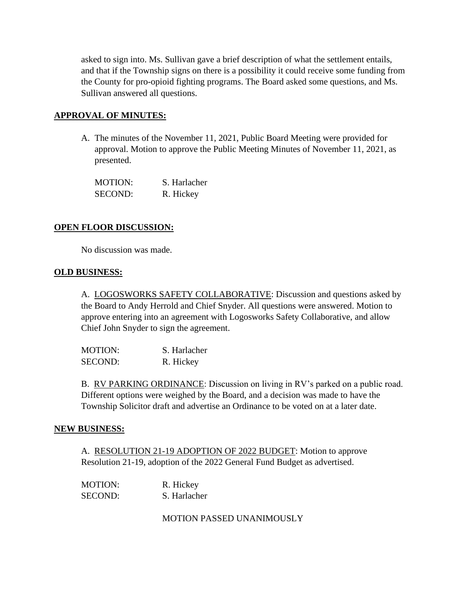asked to sign into. Ms. Sullivan gave a brief description of what the settlement entails, and that if the Township signs on there is a possibility it could receive some funding from the County for pro-opioid fighting programs. The Board asked some questions, and Ms. Sullivan answered all questions.

### **APPROVAL OF MINUTES:**

A. The minutes of the November 11, 2021, Public Board Meeting were provided for approval. Motion to approve the Public Meeting Minutes of November 11, 2021, as presented.

| <b>MOTION:</b> | S. Harlacher |
|----------------|--------------|
| <b>SECOND:</b> | R. Hickey    |

### **OPEN FLOOR DISCUSSION:**

No discussion was made.

#### **OLD BUSINESS:**

A. LOGOSWORKS SAFETY COLLABORATIVE: Discussion and questions asked by the Board to Andy Herrold and Chief Snyder. All questions were answered. Motion to approve entering into an agreement with Logosworks Safety Collaborative, and allow Chief John Snyder to sign the agreement.

MOTION: S. Harlacher SECOND: R. Hickey

B. RV PARKING ORDINANCE: Discussion on living in RV's parked on a public road. Different options were weighed by the Board, and a decision was made to have the Township Solicitor draft and advertise an Ordinance to be voted on at a later date.

#### **NEW BUSINESS:**

A. RESOLUTION 21-19 ADOPTION OF 2022 BUDGET: Motion to approve Resolution 21-19, adoption of the 2022 General Fund Budget as advertised.

| MOTION:        | R. Hickey    |
|----------------|--------------|
| <b>SECOND:</b> | S. Harlacher |

MOTION PASSED UNANIMOUSLY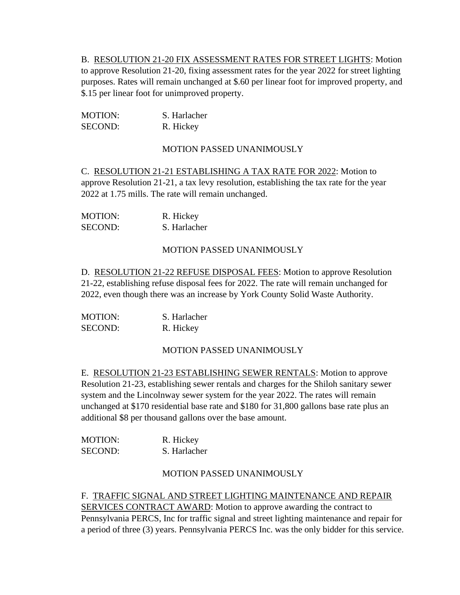B. RESOLUTION 21-20 FIX ASSESSMENT RATES FOR STREET LIGHTS: Motion to approve Resolution 21-20, fixing assessment rates for the year 2022 for street lighting purposes. Rates will remain unchanged at \$.60 per linear foot for improved property, and \$.15 per linear foot for unimproved property.

| <b>MOTION:</b> | S. Harlacher |
|----------------|--------------|
| <b>SECOND:</b> | R. Hickey    |

### MOTION PASSED UNANIMOUSLY

C. RESOLUTION 21-21 ESTABLISHING A TAX RATE FOR 2022: Motion to approve Resolution 21-21, a tax levy resolution, establishing the tax rate for the year 2022 at 1.75 mills. The rate will remain unchanged.

| <b>MOTION:</b> | R. Hickey    |
|----------------|--------------|
| SECOND:        | S. Harlacher |

### MOTION PASSED UNANIMOUSLY

D. RESOLUTION 21-22 REFUSE DISPOSAL FEES: Motion to approve Resolution 21-22, establishing refuse disposal fees for 2022. The rate will remain unchanged for 2022, even though there was an increase by York County Solid Waste Authority.

| <b>MOTION:</b> | S. Harlacher |
|----------------|--------------|
| SECOND:        | R. Hickey    |

## MOTION PASSED UNANIMOUSLY

E. RESOLUTION 21-23 ESTABLISHING SEWER RENTALS: Motion to approve Resolution 21-23, establishing sewer rentals and charges for the Shiloh sanitary sewer system and the Lincolnway sewer system for the year 2022. The rates will remain unchanged at \$170 residential base rate and \$180 for 31,800 gallons base rate plus an additional \$8 per thousand gallons over the base amount.

| <b>MOTION:</b> | R. Hickey    |
|----------------|--------------|
| <b>SECOND:</b> | S. Harlacher |

#### MOTION PASSED UNANIMOUSLY

#### F. TRAFFIC SIGNAL AND STREET LIGHTING MAINTENANCE AND REPAIR

SERVICES CONTRACT AWARD: Motion to approve awarding the contract to Pennsylvania PERCS, Inc for traffic signal and street lighting maintenance and repair for a period of three (3) years. Pennsylvania PERCS Inc. was the only bidder for this service.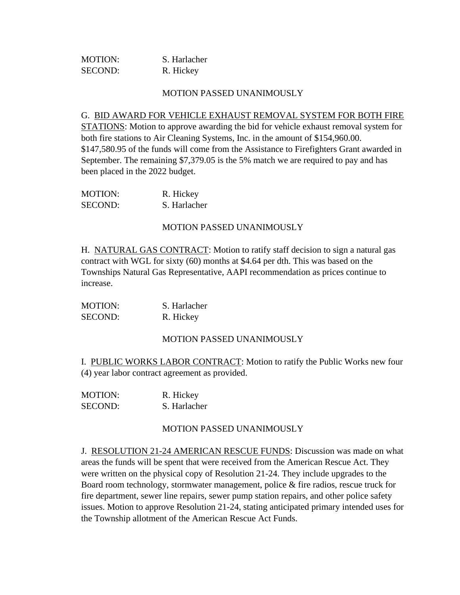| <b>MOTION:</b> | S. Harlacher |
|----------------|--------------|
| SECOND:        | R. Hickey    |

#### G. BID AWARD FOR VEHICLE EXHAUST REMOVAL SYSTEM FOR BOTH FIRE

STATIONS: Motion to approve awarding the bid for vehicle exhaust removal system for both fire stations to Air Cleaning Systems, Inc. in the amount of \$154,960.00. \$147,580.95 of the funds will come from the Assistance to Firefighters Grant awarded in September. The remaining \$7,379.05 is the 5% match we are required to pay and has been placed in the 2022 budget.

| <b>MOTION:</b> | R. Hickey    |
|----------------|--------------|
| <b>SECOND:</b> | S. Harlacher |

#### MOTION PASSED UNANIMOUSLY

H. NATURAL GAS CONTRACT: Motion to ratify staff decision to sign a natural gas contract with WGL for sixty (60) months at \$4.64 per dth. This was based on the Townships Natural Gas Representative, AAPI recommendation as prices continue to increase.

| <b>MOTION:</b> | S. Harlacher |
|----------------|--------------|
| <b>SECOND:</b> | R. Hickey    |

#### MOTION PASSED UNANIMOUSLY

I. PUBLIC WORKS LABOR CONTRACT: Motion to ratify the Public Works new four (4) year labor contract agreement as provided.

| <b>MOTION:</b> | R. Hickey    |
|----------------|--------------|
| <b>SECOND:</b> | S. Harlacher |

#### MOTION PASSED UNANIMOUSLY

J. RESOLUTION 21-24 AMERICAN RESCUE FUNDS: Discussion was made on what areas the funds will be spent that were received from the American Rescue Act. They were written on the physical copy of Resolution 21-24. They include upgrades to the Board room technology, stormwater management, police & fire radios, rescue truck for fire department, sewer line repairs, sewer pump station repairs, and other police safety issues. Motion to approve Resolution 21-24, stating anticipated primary intended uses for the Township allotment of the American Rescue Act Funds.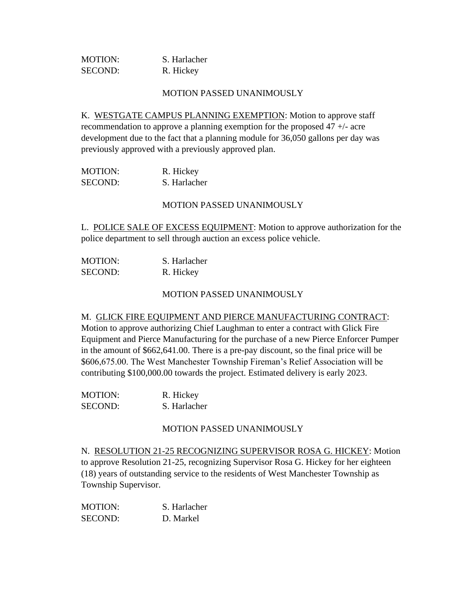| <b>MOTION:</b> | S. Harlacher |
|----------------|--------------|
| SECOND:        | R. Hickey    |

K. WESTGATE CAMPUS PLANNING EXEMPTION: Motion to approve staff recommendation to approve a planning exemption for the proposed 47 +/- acre development due to the fact that a planning module for 36,050 gallons per day was previously approved with a previously approved plan.

| MOTION:        | R. Hickey    |
|----------------|--------------|
| <b>SECOND:</b> | S. Harlacher |

#### MOTION PASSED UNANIMOUSLY

L. POLICE SALE OF EXCESS EQUIPMENT: Motion to approve authorization for the police department to sell through auction an excess police vehicle.

| <b>MOTION:</b> | S. Harlacher |
|----------------|--------------|
| SECOND:        | R. Hickey    |

MOTION PASSED UNANIMOUSLY

M. GLICK FIRE EQUIPMENT AND PIERCE MANUFACTURING CONTRACT: Motion to approve authorizing Chief Laughman to enter a contract with Glick Fire Equipment and Pierce Manufacturing for the purchase of a new Pierce Enforcer Pumper in the amount of \$662,641.00. There is a pre-pay discount, so the final price will be \$606,675.00. The West Manchester Township Fireman's Relief Association will be contributing \$100,000.00 towards the project. Estimated delivery is early 2023.

| <b>MOTION:</b> | R. Hickey    |
|----------------|--------------|
| <b>SECOND:</b> | S. Harlacher |

#### MOTION PASSED UNANIMOUSLY

N. RESOLUTION 21-25 RECOGNIZING SUPERVISOR ROSA G. HICKEY: Motion to approve Resolution 21-25, recognizing Supervisor Rosa G. Hickey for her eighteen (18) years of outstanding service to the residents of West Manchester Township as Township Supervisor.

| <b>MOTION:</b> | S. Harlacher |
|----------------|--------------|
| <b>SECOND:</b> | D. Markel    |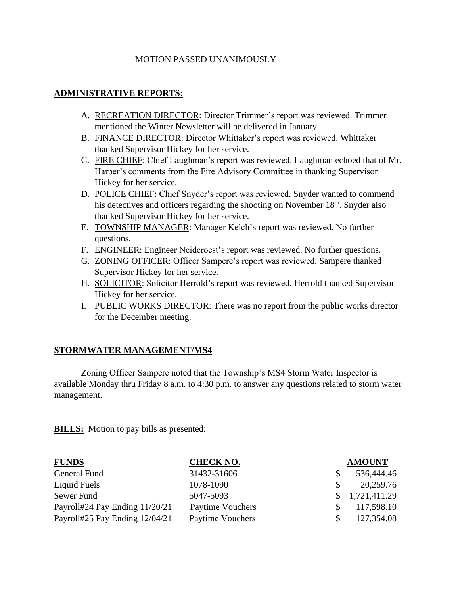### **ADMINISTRATIVE REPORTS:**

- A. RECREATION DIRECTOR: Director Trimmer's report was reviewed. Trimmer mentioned the Winter Newsletter will be delivered in January.
- B. FINANCE DIRECTOR: Director Whittaker's report was reviewed. Whittaker thanked Supervisor Hickey for her service.
- C. FIRE CHIEF: Chief Laughman's report was reviewed. Laughman echoed that of Mr. Harper's comments from the Fire Advisory Committee in thanking Supervisor Hickey for her service.
- D. POLICE CHIEF: Chief Snyder's report was reviewed. Snyder wanted to commend his detectives and officers regarding the shooting on November 18<sup>th</sup>. Snyder also thanked Supervisor Hickey for her service.
- E. TOWNSHIP MANAGER: Manager Kelch's report was reviewed. No further questions.
- F. ENGINEER: Engineer Neideroest's report was reviewed. No further questions.
- G. ZONING OFFICER: Officer Sampere's report was reviewed. Sampere thanked Supervisor Hickey for her service.
- H. SOLICITOR: Solicitor Herrold's report was reviewed. Herrold thanked Supervisor Hickey for her service.
- I. PUBLIC WORKS DIRECTOR: There was no report from the public works director for the December meeting.

## **STORMWATER MANAGEMENT/MS4**

Zoning Officer Sampere noted that the Township's MS4 Storm Water Inspector is available Monday thru Friday 8 a.m. to 4:30 p.m. to answer any questions related to storm water management.

**BILLS:** Motion to pay bills as presented:

| <b>FUNDS</b>                   | <b>CHECK NO.</b> |     | <b>AMOUNT</b>  |
|--------------------------------|------------------|-----|----------------|
| General Fund                   | 31432-31606      |     | 536,444.46     |
| Liquid Fuels                   | 1078-1090        |     | 20,259.76      |
| Sewer Fund                     | 5047-5093        |     | \$1,721,411.29 |
| Payroll#24 Pay Ending 11/20/21 | Paytime Vouchers |     | 117,598.10     |
| Payroll#25 Pay Ending 12/04/21 | Paytime Vouchers | SS. | 127,354.08     |